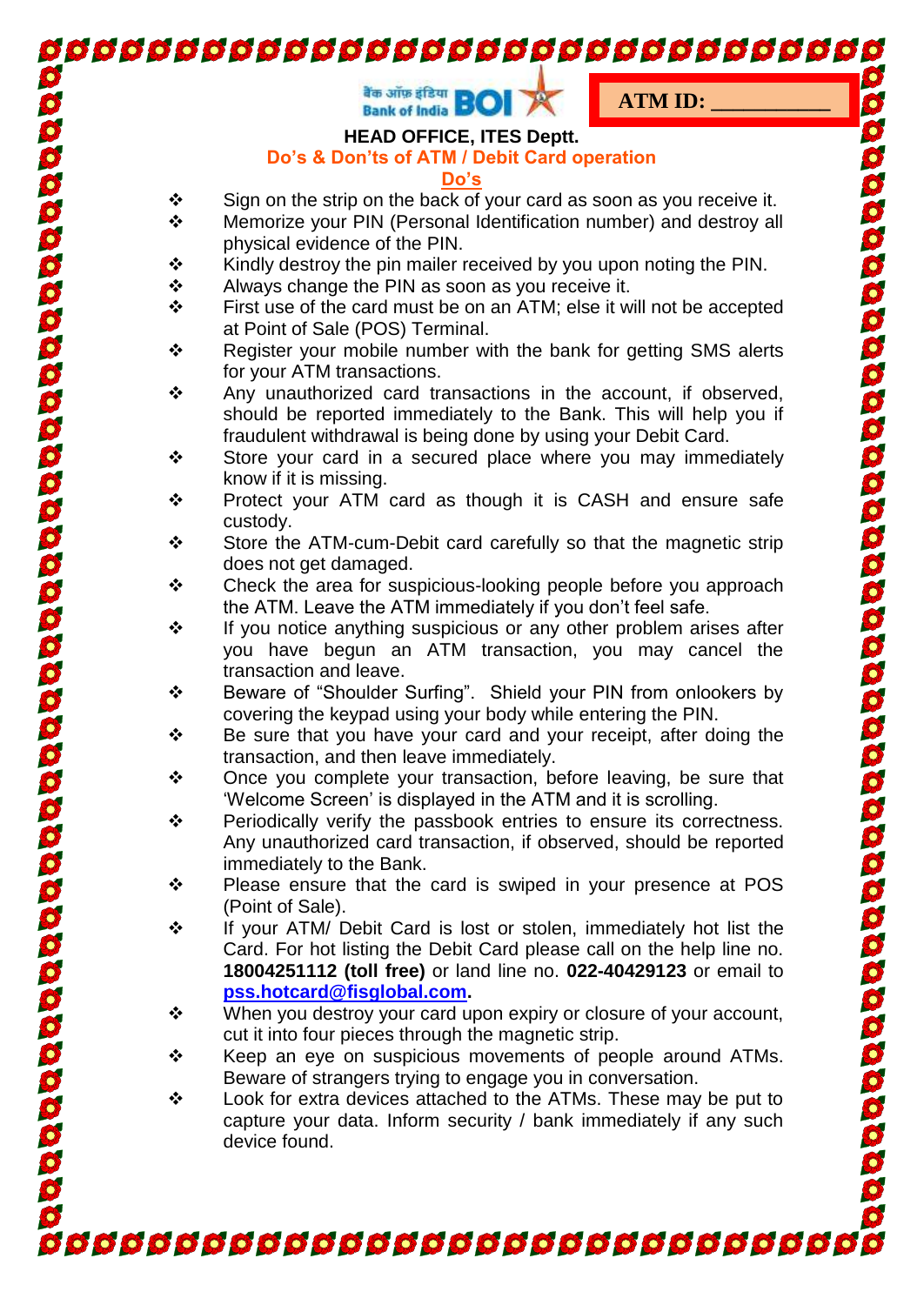|        | <b>d'a ally gram</b><br>Bank of India <b>BOI</b><br><b>ATM ID:</b>                                                            |
|--------|-------------------------------------------------------------------------------------------------------------------------------|
|        | <b>HEAD OFFICE, ITES Deptt.</b>                                                                                               |
|        | Do's & Don'ts of ATM / Debit Card operation                                                                                   |
|        | Do's                                                                                                                          |
| ❖      | Sign on the strip on the back of your card as soon as you receive it.                                                         |
| ❖      | Memorize your PIN (Personal Identification number) and destroy all                                                            |
|        | physical evidence of the PIN.                                                                                                 |
| ❖      | Kindly destroy the pin mailer received by you upon noting the PIN.                                                            |
| ❖      | Always change the PIN as soon as you receive it.                                                                              |
| ❖      | First use of the card must be on an ATM; else it will not be accepted                                                         |
|        | at Point of Sale (POS) Terminal.                                                                                              |
| ❖      | Register your mobile number with the bank for getting SMS alerts                                                              |
|        | for your ATM transactions.                                                                                                    |
| ❖<br>❖ | Any unauthorized card transactions in the account, if observed,                                                               |
|        | should be reported immediately to the Bank. This will help you if                                                             |
|        | fraudulent withdrawal is being done by using your Debit Card.<br>Store your card in a secured place where you may immediately |
|        | know if it is missing.                                                                                                        |
| ❖      | Protect your ATM card as though it is CASH and ensure safe                                                                    |
|        | custody.                                                                                                                      |
| ❖<br>❖ | Store the ATM-cum-Debit card carefully so that the magnetic strip                                                             |
|        | does not get damaged.                                                                                                         |
|        | Check the area for suspicious-looking people before you approach                                                              |
|        | the ATM. Leave the ATM immediately if you don't feel safe.                                                                    |
| ❖      | If you notice anything suspicious or any other problem arises after                                                           |
|        | you have begun an ATM transaction, you may cancel the                                                                         |
|        | transaction and leave.                                                                                                        |
| ❖      | Beware of "Shoulder Surfing". Shield your PIN from onlookers by                                                               |
|        | covering the keypad using your body while entering the PIN.                                                                   |
| ❖      | Be sure that you have your card and your receipt, after doing the                                                             |
|        | transaction, and then leave immediately.                                                                                      |
| ❖      | Once you complete your transaction, before leaving, be sure that                                                              |
|        | 'Welcome Screen' is displayed in the ATM and it is scrolling.                                                                 |
| ❖      | Periodically verify the passbook entries to ensure its correctness.                                                           |
|        | Any unauthorized card transaction, if observed, should be reported                                                            |
|        | immediately to the Bank.                                                                                                      |
| ❖      | Please ensure that the card is swiped in your presence at POS                                                                 |
|        | (Point of Sale).                                                                                                              |
| ❖      | If your ATM/ Debit Card is lost or stolen, immediately hot list the                                                           |
| ❖      | Card. For hot listing the Debit Card please call on the help line no.                                                         |
|        | 18004251112 (toll free) or land line no. 022-40429123 or email to                                                             |
|        | pss.hotcard@fisglobal.com.                                                                                                    |
|        | When you destroy your card upon expiry or closure of your account,                                                            |
| ❖      | cut it into four pieces through the magnetic strip.<br>Keep an eye on suspicious movements of people around ATMs.             |
|        | Beware of strangers trying to engage you in conversation.                                                                     |
| ❖      | Look for extra devices attached to the ATMs. These may be put to                                                              |
|        | capture your data. Inform security / bank immediately if any such                                                             |
|        | device found.                                                                                                                 |